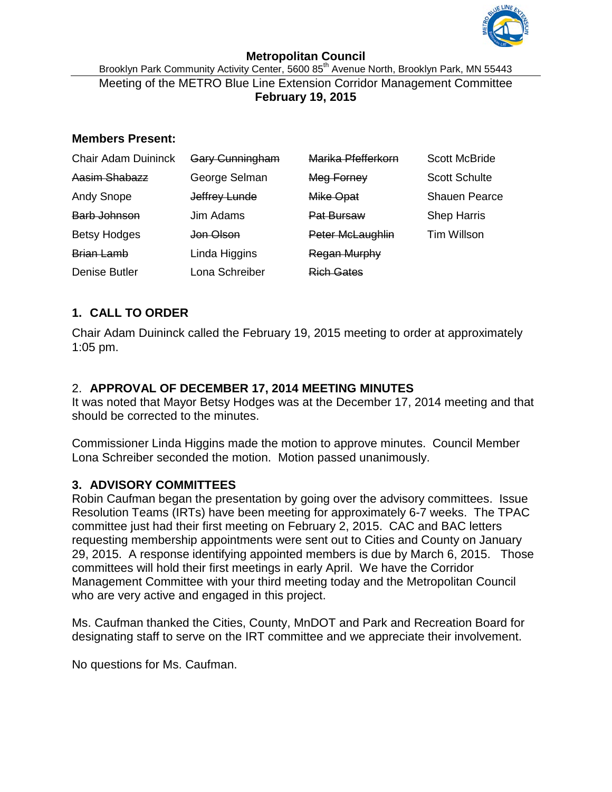

#### **Metropolitan Council** Brooklyn Park Community Activity Center, 5600 85<sup>th</sup> Avenue North, Brooklyn Park, MN 55443 Meeting of the METRO Blue Line Extension Corridor Management Committee **February 19, 2015**

### **Members Present:**

| <b>Chair Adam Duininck</b> | Gary Cunningham | Marika Pfefferkorn  | <b>Scott McBride</b> |
|----------------------------|-----------------|---------------------|----------------------|
| Aasim Shabazz              | George Selman   | Meg Forney          | <b>Scott Schulte</b> |
| <b>Andy Snope</b>          | Jeffrey Lunde   | Mike Opat           | <b>Shauen Pearce</b> |
| Barb Johnson               | Jim Adams       | <b>Pat Bursaw</b>   | <b>Shep Harris</b>   |
| <b>Betsy Hodges</b>        | Jon Olson       | Peter McLaughlin    | <b>Tim Willson</b>   |
| <b>Brian Lamb</b>          | Linda Higgins   | <b>Regan Murphy</b> |                      |
| <b>Denise Butler</b>       | Lona Schreiber  | <b>Rich Gates</b>   |                      |

# **1. CALL TO ORDER**

Chair Adam Duininck called the February 19, 2015 meeting to order at approximately 1:05 pm.

# 2. **APPROVAL OF DECEMBER 17, 2014 MEETING MINUTES**

It was noted that Mayor Betsy Hodges was at the December 17, 2014 meeting and that should be corrected to the minutes.

Commissioner Linda Higgins made the motion to approve minutes. Council Member Lona Schreiber seconded the motion. Motion passed unanimously.

## **3. ADVISORY COMMITTEES**

Robin Caufman began the presentation by going over the advisory committees. Issue Resolution Teams (IRTs) have been meeting for approximately 6-7 weeks. The TPAC committee just had their first meeting on February 2, 2015. CAC and BAC letters requesting membership appointments were sent out to Cities and County on January 29, 2015. A response identifying appointed members is due by March 6, 2015. Those committees will hold their first meetings in early April. We have the Corridor Management Committee with your third meeting today and the Metropolitan Council who are very active and engaged in this project.

Ms. Caufman thanked the Cities, County, MnDOT and Park and Recreation Board for designating staff to serve on the IRT committee and we appreciate their involvement.

No questions for Ms. Caufman.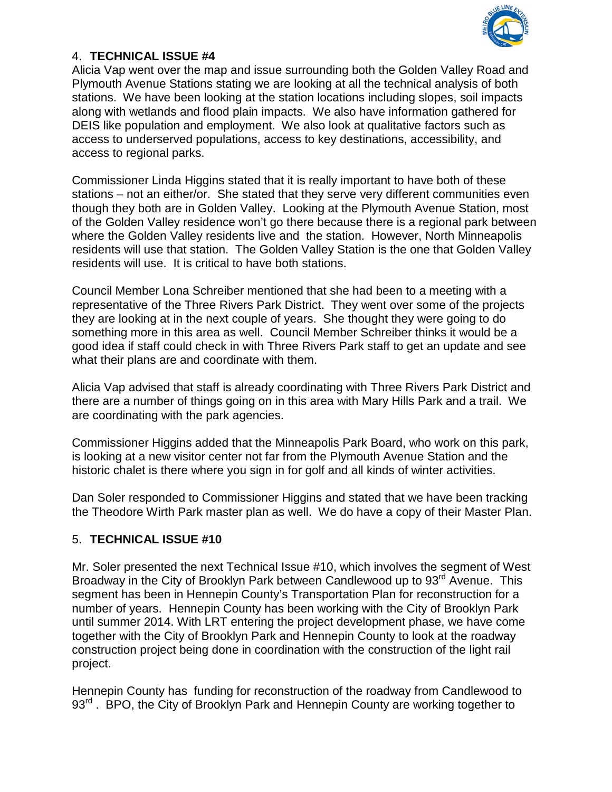

### 4. **TECHNICAL ISSUE #4**

Alicia Vap went over the map and issue surrounding both the Golden Valley Road and Plymouth Avenue Stations stating we are looking at all the technical analysis of both stations. We have been looking at the station locations including slopes, soil impacts along with wetlands and flood plain impacts. We also have information gathered for DEIS like population and employment. We also look at qualitative factors such as access to underserved populations, access to key destinations, accessibility, and access to regional parks.

Commissioner Linda Higgins stated that it is really important to have both of these stations – not an either/or. She stated that they serve very different communities even though they both are in Golden Valley. Looking at the Plymouth Avenue Station, most of the Golden Valley residence won't go there because there is a regional park between where the Golden Valley residents live and the station. However, North Minneapolis residents will use that station. The Golden Valley Station is the one that Golden Valley residents will use. It is critical to have both stations.

Council Member Lona Schreiber mentioned that she had been to a meeting with a representative of the Three Rivers Park District. They went over some of the projects they are looking at in the next couple of years. She thought they were going to do something more in this area as well. Council Member Schreiber thinks it would be a good idea if staff could check in with Three Rivers Park staff to get an update and see what their plans are and coordinate with them.

Alicia Vap advised that staff is already coordinating with Three Rivers Park District and there are a number of things going on in this area with Mary Hills Park and a trail. We are coordinating with the park agencies.

Commissioner Higgins added that the Minneapolis Park Board, who work on this park, is looking at a new visitor center not far from the Plymouth Avenue Station and the historic chalet is there where you sign in for golf and all kinds of winter activities.

Dan Soler responded to Commissioner Higgins and stated that we have been tracking the Theodore Wirth Park master plan as well. We do have a copy of their Master Plan.

## 5. **TECHNICAL ISSUE #10**

Mr. Soler presented the next Technical Issue #10, which involves the segment of West Broadway in the City of Brooklyn Park between Candlewood up to 93<sup>rd</sup> Avenue. This segment has been in Hennepin County's Transportation Plan for reconstruction for a number of years. Hennepin County has been working with the City of Brooklyn Park until summer 2014. With LRT entering the project development phase, we have come together with the City of Brooklyn Park and Hennepin County to look at the roadway construction project being done in coordination with the construction of the light rail project.

Hennepin County has funding for reconstruction of the roadway from Candlewood to 93<sup>rd</sup>. BPO, the City of Brooklyn Park and Hennepin County are working together to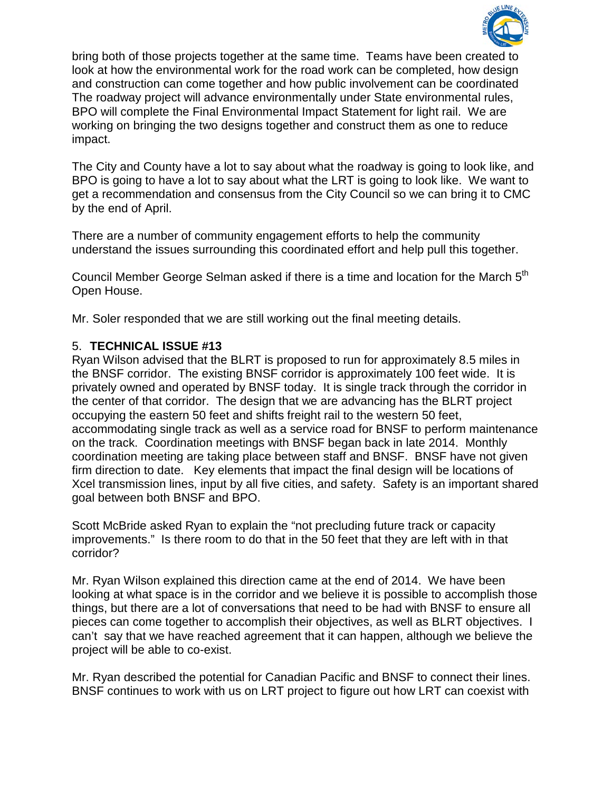

bring both of those projects together at the same time. Teams have been created to look at how the environmental work for the road work can be completed, how design and construction can come together and how public involvement can be coordinated The roadway project will advance environmentally under State environmental rules, BPO will complete the Final Environmental Impact Statement for light rail. We are working on bringing the two designs together and construct them as one to reduce impact.

The City and County have a lot to say about what the roadway is going to look like, and BPO is going to have a lot to say about what the LRT is going to look like. We want to get a recommendation and consensus from the City Council so we can bring it to CMC by the end of April.

There are a number of community engagement efforts to help the community understand the issues surrounding this coordinated effort and help pull this together.

Council Member George Selman asked if there is a time and location for the March 5<sup>th</sup> Open House.

Mr. Soler responded that we are still working out the final meeting details.

### 5. **TECHNICAL ISSUE #13**

Ryan Wilson advised that the BLRT is proposed to run for approximately 8.5 miles in the BNSF corridor. The existing BNSF corridor is approximately 100 feet wide. It is privately owned and operated by BNSF today. It is single track through the corridor in the center of that corridor. The design that we are advancing has the BLRT project occupying the eastern 50 feet and shifts freight rail to the western 50 feet, accommodating single track as well as a service road for BNSF to perform maintenance on the track. Coordination meetings with BNSF began back in late 2014. Monthly coordination meeting are taking place between staff and BNSF. BNSF have not given firm direction to date. Key elements that impact the final design will be locations of Xcel transmission lines, input by all five cities, and safety. Safety is an important shared goal between both BNSF and BPO.

Scott McBride asked Ryan to explain the "not precluding future track or capacity improvements." Is there room to do that in the 50 feet that they are left with in that corridor?

Mr. Ryan Wilson explained this direction came at the end of 2014. We have been looking at what space is in the corridor and we believe it is possible to accomplish those things, but there are a lot of conversations that need to be had with BNSF to ensure all pieces can come together to accomplish their objectives, as well as BLRT objectives. I can't say that we have reached agreement that it can happen, although we believe the project will be able to co-exist.

Mr. Ryan described the potential for Canadian Pacific and BNSF to connect their lines. BNSF continues to work with us on LRT project to figure out how LRT can coexist with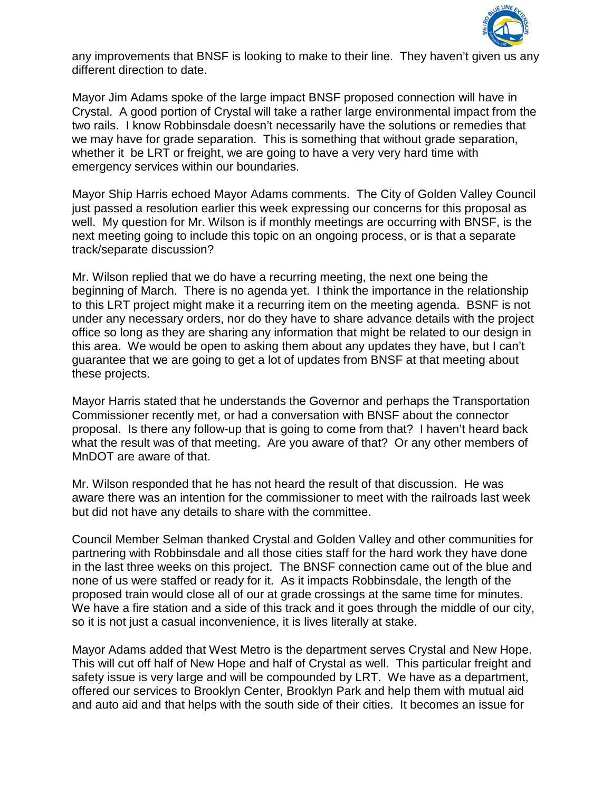

any improvements that BNSF is looking to make to their line. They haven't given us any different direction to date.

Mayor Jim Adams spoke of the large impact BNSF proposed connection will have in Crystal. A good portion of Crystal will take a rather large environmental impact from the two rails. I know Robbinsdale doesn't necessarily have the solutions or remedies that we may have for grade separation. This is something that without grade separation, whether it be LRT or freight, we are going to have a very very hard time with emergency services within our boundaries.

Mayor Ship Harris echoed Mayor Adams comments. The City of Golden Valley Council just passed a resolution earlier this week expressing our concerns for this proposal as well. My question for Mr. Wilson is if monthly meetings are occurring with BNSF, is the next meeting going to include this topic on an ongoing process, or is that a separate track/separate discussion?

Mr. Wilson replied that we do have a recurring meeting, the next one being the beginning of March. There is no agenda yet. I think the importance in the relationship to this LRT project might make it a recurring item on the meeting agenda. BSNF is not under any necessary orders, nor do they have to share advance details with the project office so long as they are sharing any information that might be related to our design in this area. We would be open to asking them about any updates they have, but I can't guarantee that we are going to get a lot of updates from BNSF at that meeting about these projects.

Mayor Harris stated that he understands the Governor and perhaps the Transportation Commissioner recently met, or had a conversation with BNSF about the connector proposal. Is there any follow-up that is going to come from that? I haven't heard back what the result was of that meeting. Are you aware of that? Or any other members of MnDOT are aware of that.

Mr. Wilson responded that he has not heard the result of that discussion. He was aware there was an intention for the commissioner to meet with the railroads last week but did not have any details to share with the committee.

Council Member Selman thanked Crystal and Golden Valley and other communities for partnering with Robbinsdale and all those cities staff for the hard work they have done in the last three weeks on this project. The BNSF connection came out of the blue and none of us were staffed or ready for it. As it impacts Robbinsdale, the length of the proposed train would close all of our at grade crossings at the same time for minutes. We have a fire station and a side of this track and it goes through the middle of our city, so it is not just a casual inconvenience, it is lives literally at stake.

Mayor Adams added that West Metro is the department serves Crystal and New Hope. This will cut off half of New Hope and half of Crystal as well. This particular freight and safety issue is very large and will be compounded by LRT. We have as a department, offered our services to Brooklyn Center, Brooklyn Park and help them with mutual aid and auto aid and that helps with the south side of their cities. It becomes an issue for